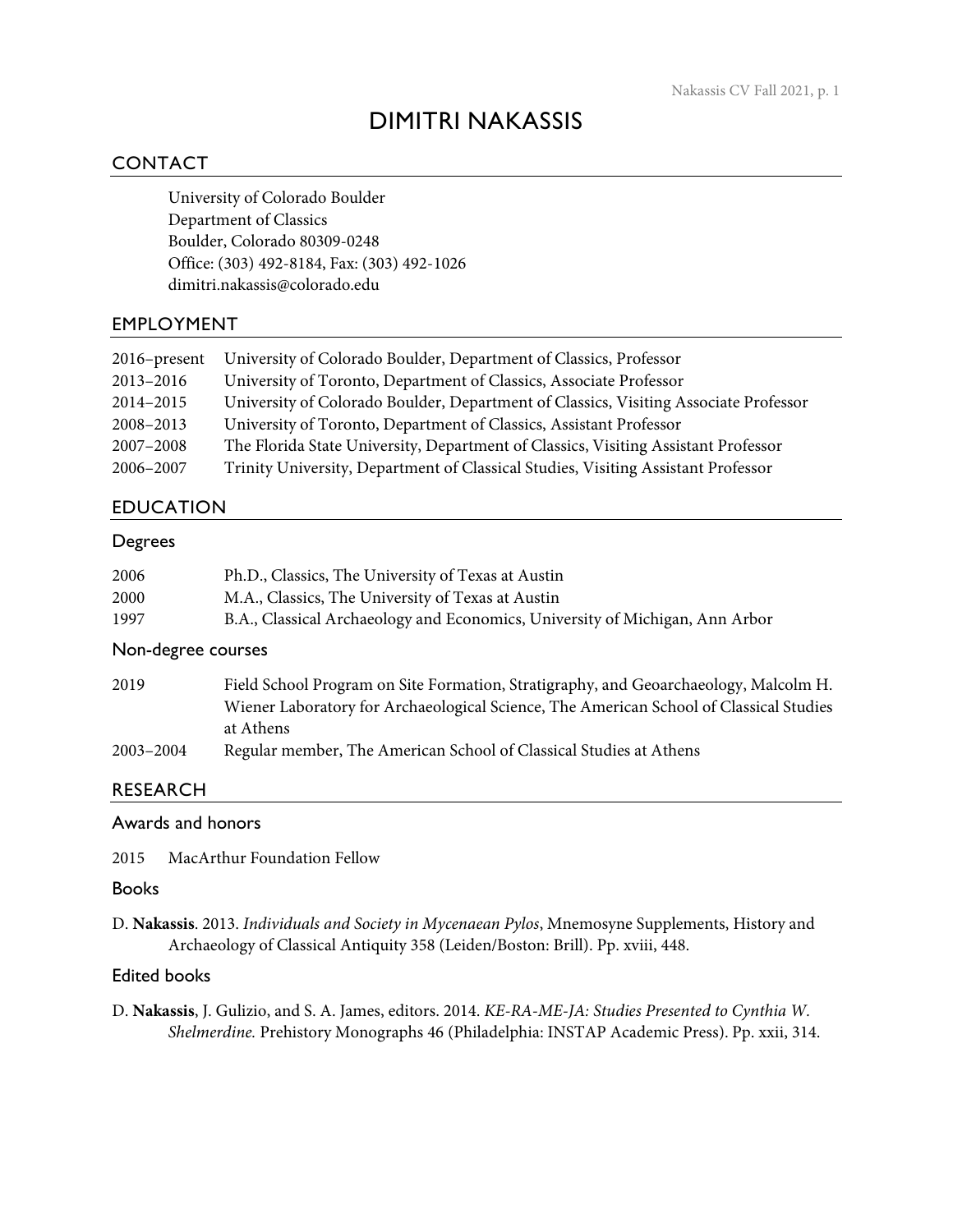# DIMITRI NAKASSIS

# CONTACT

University of Colorado Boulder Department of Classics Boulder, Colorado 80309-0248 Office: (303) 492-8184, Fax: (303) 492-1026 dimitri.nakassis@colorado.edu

# EMPLOYMENT

| $2016$ -present | University of Colorado Boulder, Department of Classics, Professor                    |
|-----------------|--------------------------------------------------------------------------------------|
| 2013-2016       | University of Toronto, Department of Classics, Associate Professor                   |
| 2014-2015       | University of Colorado Boulder, Department of Classics, Visiting Associate Professor |
| 2008-2013       | University of Toronto, Department of Classics, Assistant Professor                   |
| 2007-2008       | The Florida State University, Department of Classics, Visiting Assistant Professor   |
| 2006-2007       | Trinity University, Department of Classical Studies, Visiting Assistant Professor    |

# EDUCATION

#### Degrees

| 2006 | Ph.D., Classics, The University of Texas at Austin                           |
|------|------------------------------------------------------------------------------|
| 2000 | M.A., Classics, The University of Texas at Austin                            |
| 1997 | B.A., Classical Archaeology and Economics, University of Michigan, Ann Arbor |

## Non-degree courses

| 2019      | Field School Program on Site Formation, Stratigraphy, and Geoarchaeology, Malcolm H.   |
|-----------|----------------------------------------------------------------------------------------|
|           | Wiener Laboratory for Archaeological Science, The American School of Classical Studies |
|           | at Athens                                                                              |
| 2003-2004 | Regular member, The American School of Classical Studies at Athens                     |

## RESEARCH

## Awards and honors

2015 MacArthur Foundation Fellow

#### Books

D. **Nakassis**. 2013. *Individuals and Society in Mycenaean Pylos*, Mnemosyne Supplements, History and Archaeology of Classical Antiquity 358 (Leiden/Boston: Brill). Pp. xviii, 448.

# Edited books

D. **Nakassis**, J. Gulizio, and S. A. James, editors. 2014. *KE-RA-ME-JA: Studies Presented to Cynthia W. Shelmerdine.* Prehistory Monographs 46 (Philadelphia: INSTAP Academic Press). Pp. xxii, 314.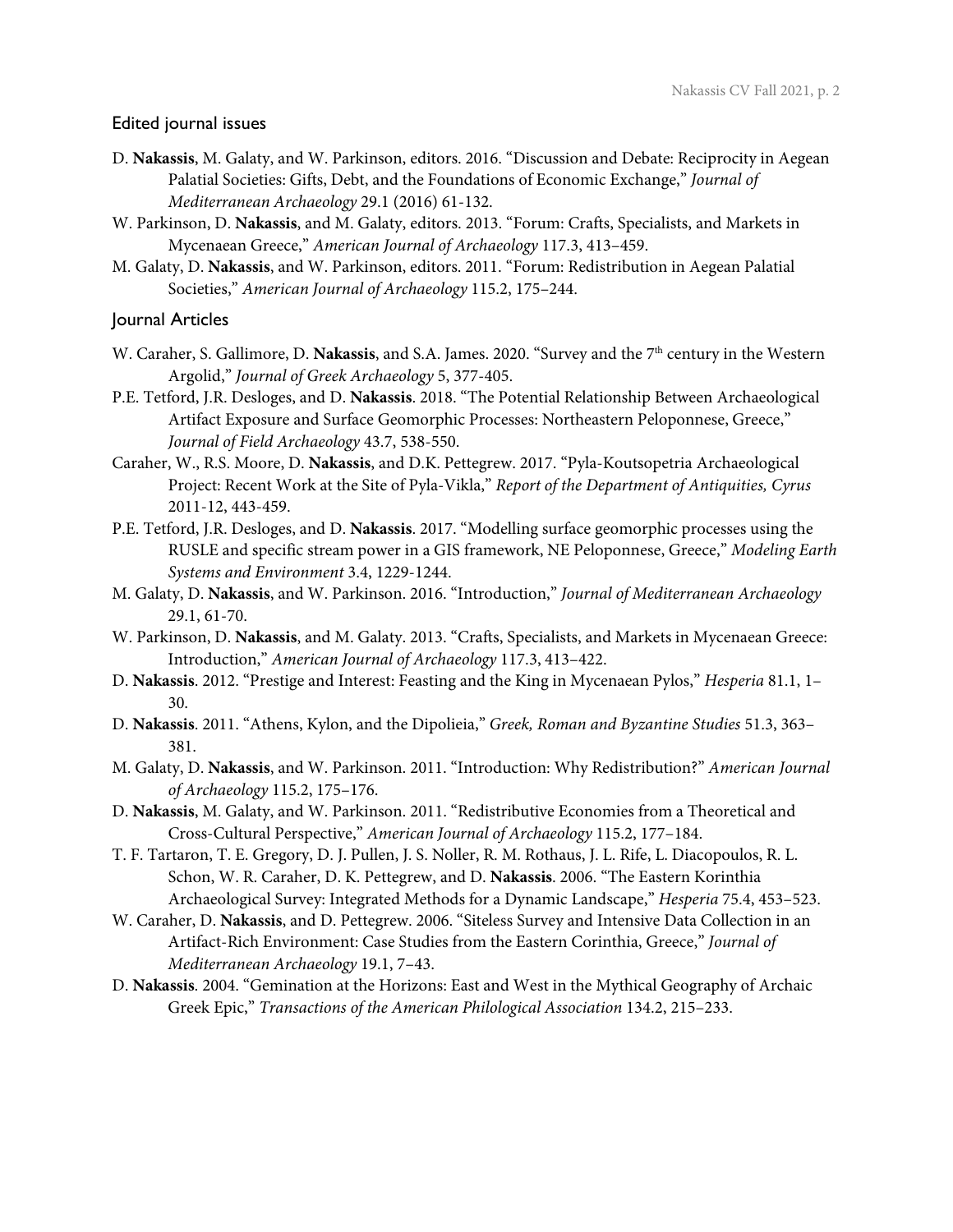#### Edited journal issues

- D. **Nakassis**, M. Galaty, and W. Parkinson, editors. 2016. "Discussion and Debate: Reciprocity in Aegean Palatial Societies: Gifts, Debt, and the Foundations of Economic Exchange," *Journal of Mediterranean Archaeology* 29.1 (2016) 61-132.
- W. Parkinson, D. **Nakassis**, and M. Galaty, editors. 2013. "Forum: Crafts, Specialists, and Markets in Mycenaean Greece," *American Journal of Archaeology* 117.3, 413–459.
- M. Galaty, D. **Nakassis**, and W. Parkinson, editors. 2011. "Forum: Redistribution in Aegean Palatial Societies," *American Journal of Archaeology* 115.2, 175–244.

#### Journal Articles

- W. Caraher, S. Gallimore, D. **Nakassis**, and S.A. James. 2020. "Survey and the 7<sup>th</sup> century in the Western Argolid," *Journal of Greek Archaeology* 5, 377-405.
- P.E. Tetford, J.R. Desloges, and D. **Nakassis**. 2018. "The Potential Relationship Between Archaeological Artifact Exposure and Surface Geomorphic Processes: Northeastern Peloponnese, Greece," *Journal of Field Archaeology* 43.7, 538-550.
- Caraher, W., R.S. Moore, D. **Nakassis**, and D.K. Pettegrew. 2017. "Pyla-Koutsopetria Archaeological Project: Recent Work at the Site of Pyla-Vikla," *Report of the Department of Antiquities, Cyrus*  2011-12, 443-459.
- P.E. Tetford, J.R. Desloges, and D. **Nakassis**. 2017. "Modelling surface geomorphic processes using the RUSLE and specific stream power in a GIS framework, NE Peloponnese, Greece," *Modeling Earth Systems and Environment* 3.4, 1229-1244.
- M. Galaty, D. **Nakassis**, and W. Parkinson. 2016. "Introduction," *Journal of Mediterranean Archaeology* 29.1, 61-70.
- W. Parkinson, D. **Nakassis**, and M. Galaty. 2013. "Crafts, Specialists, and Markets in Mycenaean Greece: Introduction," *American Journal of Archaeology* 117.3, 413–422.
- D. **Nakassis**. 2012. "Prestige and Interest: Feasting and the King in Mycenaean Pylos," *Hesperia* 81.1, 1– 30.
- D. **Nakassis**. 2011. "Athens, Kylon, and the Dipolieia," *Greek, Roman and Byzantine Studies* 51.3, 363– 381.
- M. Galaty, D. **Nakassis**, and W. Parkinson. 2011. "Introduction: Why Redistribution?" *American Journal of Archaeology* 115.2, 175–176.
- D. **Nakassis**, M. Galaty, and W. Parkinson. 2011. "Redistributive Economies from a Theoretical and Cross-Cultural Perspective," *American Journal of Archaeology* 115.2, 177–184.
- T. F. Tartaron, T. E. Gregory, D. J. Pullen, J. S. Noller, R. M. Rothaus, J. L. Rife, L. Diacopoulos, R. L. Schon, W. R. Caraher, D. K. Pettegrew, and D. **Nakassis**. 2006. "The Eastern Korinthia Archaeological Survey: Integrated Methods for a Dynamic Landscape," *Hesperia* 75.4, 453–523.
- W. Caraher, D. **Nakassis**, and D. Pettegrew. 2006. "Siteless Survey and Intensive Data Collection in an Artifact-Rich Environment: Case Studies from the Eastern Corinthia, Greece," *Journal of Mediterranean Archaeology* 19.1, 7–43.
- D. **Nakassis**. 2004. "Gemination at the Horizons: East and West in the Mythical Geography of Archaic Greek Epic," *Transactions of the American Philological Association* 134.2, 215–233.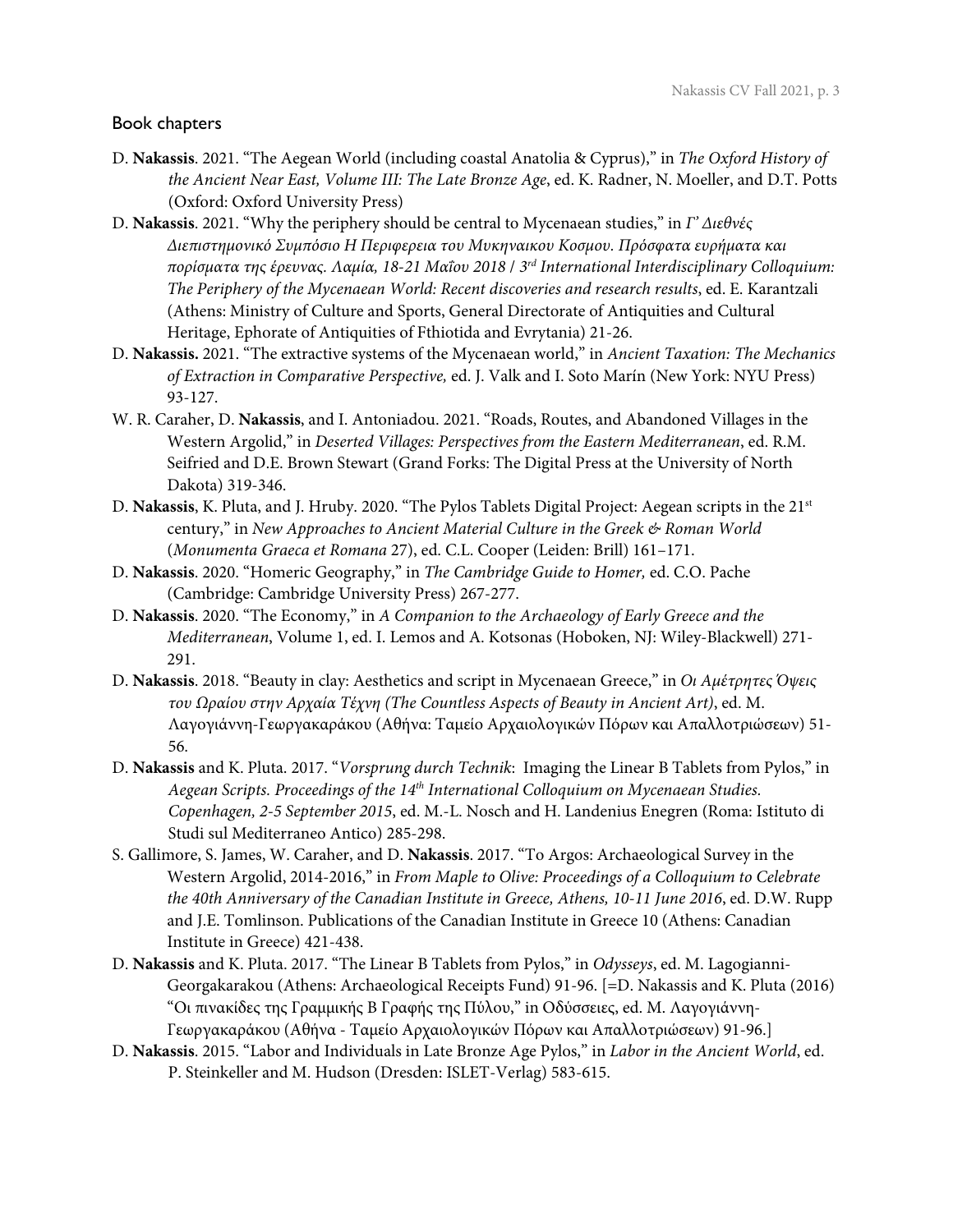## Book chapters

- D. **Nakassis**. 2021. "The Aegean World (including coastal Anatolia & Cyprus)," in *The Oxford History of the Ancient Near East, Volume III: The Late Bronze Age*, ed. K. Radner, N. Moeller, and D.T. Potts (Oxford: Oxford University Press)
- D. **Nakassis**. 2021. "Why the periphery should be central to Mycenaean studies," in *Γ' Διεθνές Διεπιστημονικό Συμπόσιο Η Περιφερεια του Μυκηναικου Κοσμου. Πρόσφατα ευρήματα και πορίσματα της έρευνας. Λαμία, 18-21 Μαΐου 2018* / *3rd International Interdisciplinary Colloquium: The Periphery of the Mycenaean World: Recent discoveries and research results*, ed. E. Karantzali (Athens: Ministry of Culture and Sports, General Directorate of Antiquities and Cultural Heritage, Ephorate of Antiquities of Fthiotida and Evrytania) 21-26.
- D. **Nakassis.** 2021. "The extractive systems of the Mycenaean world," in *Ancient Taxation: The Mechanics of Extraction in Comparative Perspective,* ed. J. Valk and I. Soto Marín (New York: NYU Press) 93-127.
- W. R. Caraher, D. **Nakassis**, and I. Antoniadou. 2021. "Roads, Routes, and Abandoned Villages in the Western Argolid," in *Deserted Villages: Perspectives from the Eastern Mediterranean*, ed. R.M. Seifried and D.E. Brown Stewart (Grand Forks: The Digital Press at the University of North Dakota) 319-346.
- D. **Nakassis**, K. Pluta, and J. Hruby. 2020. "The Pylos Tablets Digital Project: Aegean scripts in the 21st century," in *New Approaches to Ancient Material Culture in the Greek & Roman World*  (*Monumenta Graeca et Romana* 27), ed. C.L. Cooper (Leiden: Brill) 161–171.
- D. **Nakassis**. 2020. "Homeric Geography," in *The Cambridge Guide to Homer,* ed. C.O. Pache (Cambridge: Cambridge University Press) 267-277.
- D. **Nakassis**. 2020. "The Economy," in *A Companion to the Archaeology of Early Greece and the Mediterranean*, Volume 1, ed. I. Lemos and A. Kotsonas (Hoboken, NJ: Wiley-Blackwell) 271- 291.
- D. **Nakassis**. 2018. "Beauty in clay: Aesthetics and script in Mycenaean Greece," in *Οι Αμέτρητες Όψεις του Ωραίου στην Αρχαία Τέχνη (The Countless Aspects of Beauty in Ancient Art)*, ed. Μ. Λαγογιάννη-Γεωργακαράκου (Αθήνα: Ταμείο Αρχαιολογικών Πόρων και Απαλλοτριώσεων) 51- 56.
- D. **Nakassis** and K. Pluta. 2017. "*Vorsprung durch Technik*: Imaging the Linear B Tablets from Pylos," in *Aegean Scripts. Proceedings of the 14th International Colloquium on Mycenaean Studies. Copenhagen, 2-5 September 2015*, ed. M.-L. Nosch and H. Landenius Enegren (Roma: Istituto di Studi sul Mediterraneo Antico) 285-298.
- S. Gallimore, S. James, W. Caraher, and D. **Nakassis**. 2017. "To Argos: Archaeological Survey in the Western Argolid, 2014-2016," in *From Maple to Olive: Proceedings of a Colloquium to Celebrate the 40th Anniversary of the Canadian Institute in Greece, Athens, 10-11 June 2016*, ed. D.W. Rupp and J.E. Tomlinson. Publications of the Canadian Institute in Greece 10 (Athens: Canadian Institute in Greece) 421-438.
- D. **Nakassis** and K. Pluta. 2017. "The Linear B Tablets from Pylos," in *Odysseys*, ed. M. Lagogianni-Georgakarakou (Athens: Archaeological Receipts Fund) 91-96. [=D. Nakassis and K. Pluta (2016) "Οι πινακίδες της Γραμμικής Β Γραφής της Πύλου," in Οδύσσειες, ed. Μ. Λαγογιάννη-Γεωργακαράκου (Αθήνα - Ταμείο Αρχαιολογικών Πόρων και Απαλλοτριώσεων) 91-96.]
- D. **Nakassis**. 2015. "Labor and Individuals in Late Bronze Age Pylos," in *Labor in the Ancient World*, ed. P. Steinkeller and M. Hudson (Dresden: ISLET-Verlag) 583-615.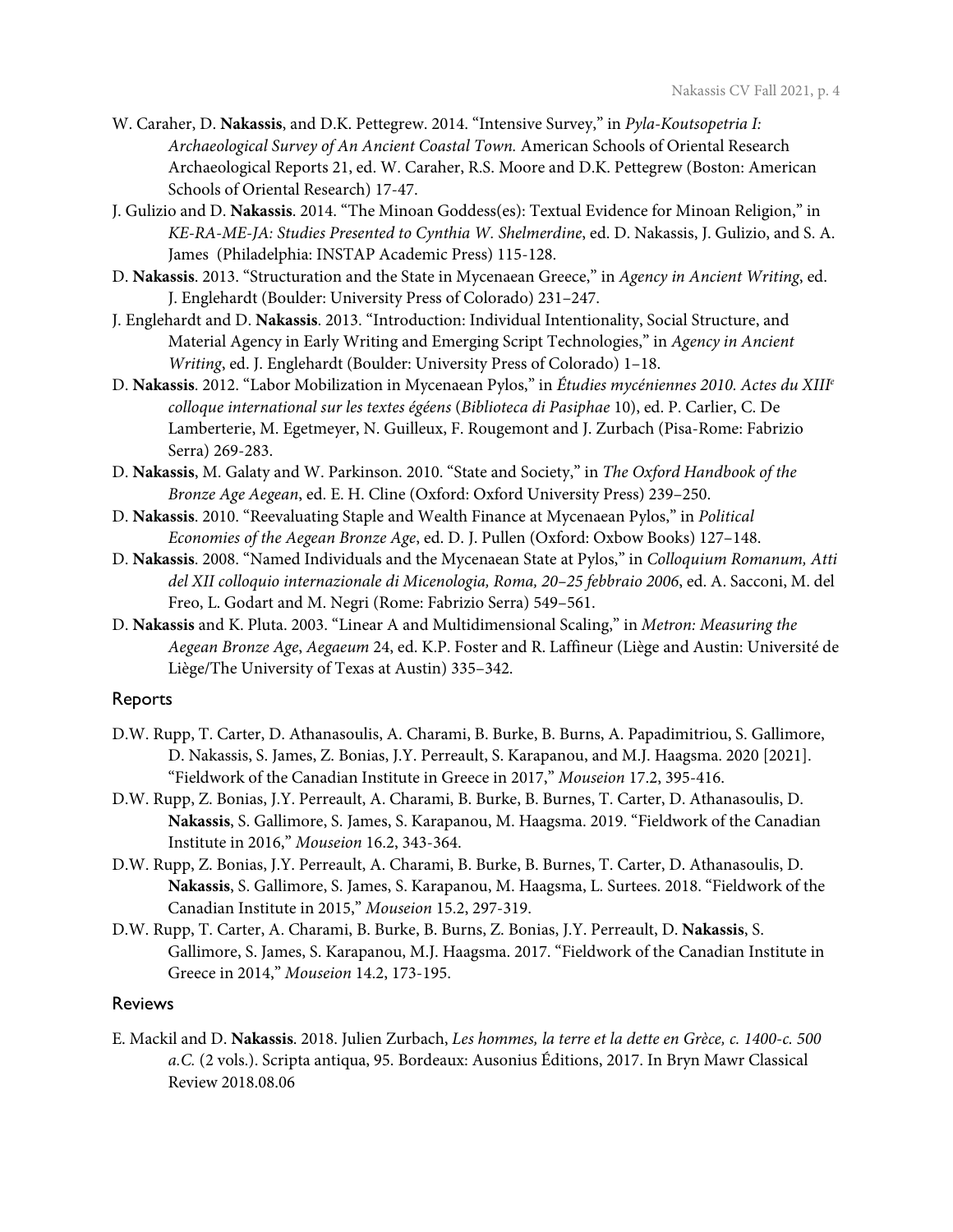- W. Caraher, D. **Nakassis**, and D.K. Pettegrew. 2014. "Intensive Survey," in *Pyla-Koutsopetria I: Archaeological Survey of An Ancient Coastal Town.* American Schools of Oriental Research Archaeological Reports 21, ed. W. Caraher, R.S. Moore and D.K. Pettegrew (Boston: American Schools of Oriental Research) 17-47.
- J. Gulizio and D. **Nakassis**. 2014. "The Minoan Goddess(es): Textual Evidence for Minoan Religion," in *KE-RA-ME-JA: Studies Presented to Cynthia W. Shelmerdine*, ed. D. Nakassis, J. Gulizio, and S. A. James (Philadelphia: INSTAP Academic Press) 115-128.
- D. **Nakassis**. 2013. "Structuration and the State in Mycenaean Greece," in *Agency in Ancient Writing*, ed. J. Englehardt (Boulder: University Press of Colorado) 231–247.
- J. Englehardt and D. **Nakassis**. 2013. "Introduction: Individual Intentionality, Social Structure, and Material Agency in Early Writing and Emerging Script Technologies," in *Agency in Ancient Writing*, ed. J. Englehardt (Boulder: University Press of Colorado) 1–18.
- D. **Nakassis**. 2012. "Labor Mobilization in Mycenaean Pylos," in *Étudies mycéniennes 2010. Actes du XIIIe colloque international sur les textes égéens* (*Biblioteca di Pasiphae* 10), ed. P. Carlier, C. De Lamberterie, M. Egetmeyer, N. Guilleux, F. Rougemont and J. Zurbach (Pisa-Rome: Fabrizio Serra) 269-283.
- D. **Nakassis**, M. Galaty and W. Parkinson. 2010. "State and Society," in *The Oxford Handbook of the Bronze Age Aegean*, ed. E. H. Cline (Oxford: Oxford University Press) 239–250.
- D. **Nakassis**. 2010. "Reevaluating Staple and Wealth Finance at Mycenaean Pylos," in *Political Economies of the Aegean Bronze Age*, ed. D. J. Pullen (Oxford: Oxbow Books) 127–148.
- D. **Nakassis**. 2008. "Named Individuals and the Mycenaean State at Pylos," in *Colloquium Romanum, Atti del XII colloquio internazionale di Micenologia, Roma, 20–25 febbraio 2006*, ed. A. Sacconi, M. del Freo, L. Godart and M. Negri (Rome: Fabrizio Serra) 549–561.
- D. **Nakassis** and K. Pluta. 2003. "Linear A and Multidimensional Scaling," in *Metron: Measuring the Aegean Bronze Age*, *Aegaeum* 24, ed. K.P. Foster and R. Laffineur (Liège and Austin: Université de Liège/The University of Texas at Austin) 335–342.

## Reports

- D.W. Rupp, T. Carter, D. Athanasoulis, A. Charami, B. Burke, B. Burns, A. Papadimitriou, S. Gallimore, D. Nakassis, S. James, Z. Bonias, J.Y. Perreault, S. Karapanou, and M.J. Haagsma. 2020 [2021]. "Fieldwork of the Canadian Institute in Greece in 2017," *Mouseion* 17.2, 395-416.
- D.W. Rupp, Z. Bonias, J.Y. Perreault, A. Charami, B. Burke, B. Burnes, T. Carter, D. Athanasoulis, D. **Nakassis**, S. Gallimore, S. James, S. Karapanou, M. Haagsma. 2019. "Fieldwork of the Canadian Institute in 2016," *Mouseion* 16.2, 343-364.
- D.W. Rupp, Z. Bonias, J.Y. Perreault, A. Charami, B. Burke, B. Burnes, T. Carter, D. Athanasoulis, D. **Nakassis**, S. Gallimore, S. James, S. Karapanou, M. Haagsma, L. Surtees. 2018. "Fieldwork of the Canadian Institute in 2015," *Mouseion* 15.2, 297-319.
- D.W. Rupp, T. Carter, A. Charami, B. Burke, B. Burns, Z. Bonias, J.Y. Perreault, D. **Nakassis**, S. Gallimore, S. James, S. Karapanou, M.J. Haagsma. 2017. "Fieldwork of the Canadian Institute in Greece in 2014," *Mouseion* 14.2, 173-195.

## **Reviews**

E. Mackil and D. **Nakassis**. 2018. Julien Zurbach, *Les hommes, la terre et la dette en Grèce, c. 1400-c. 500 a.C.* (2 vols.). Scripta antiqua, 95. Bordeaux: Ausonius Éditions, 2017. In Bryn Mawr Classical Review 2018.08.06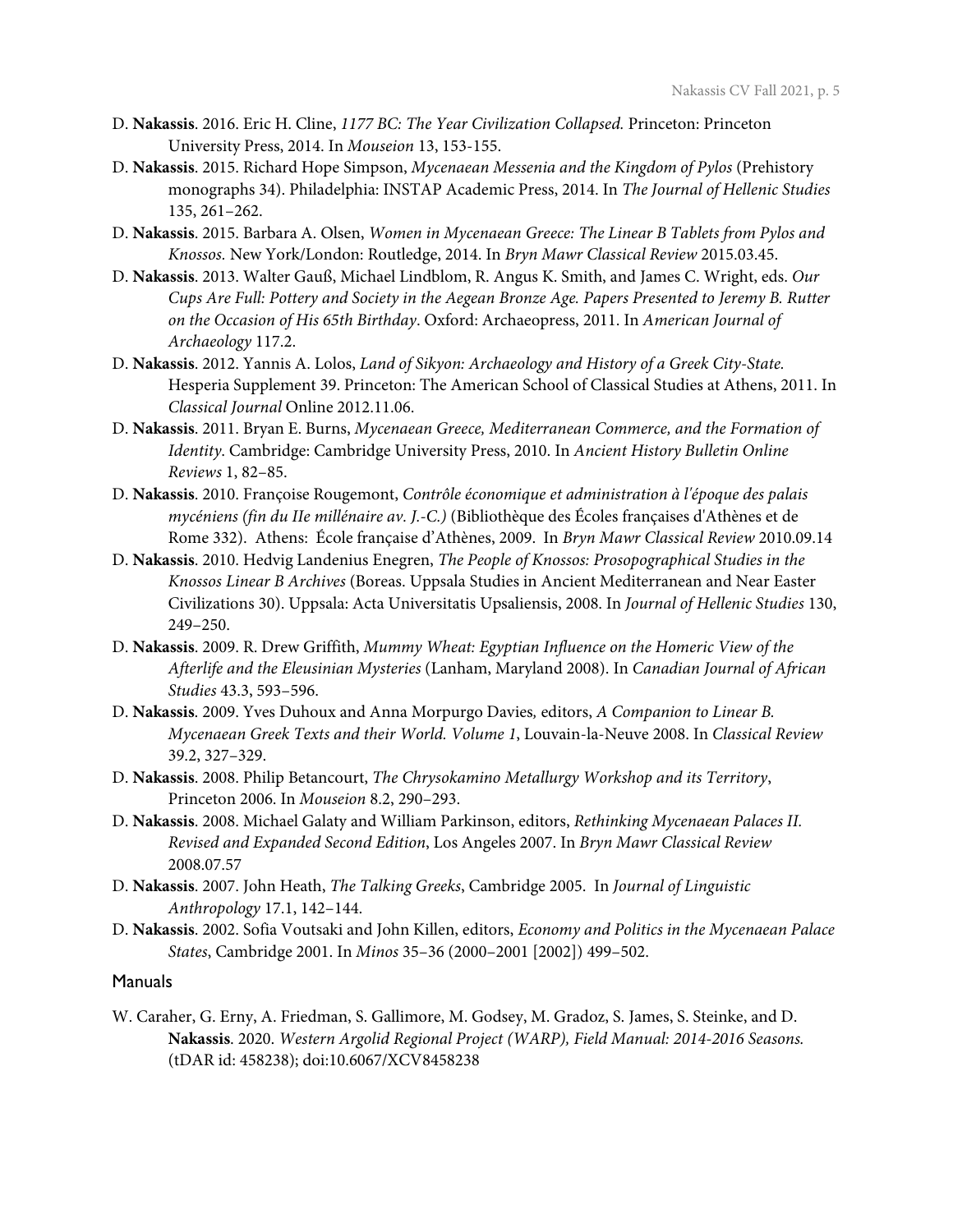- D. **Nakassis**. 2016. Eric H. Cline, *1177 BC: The Year Civilization Collapsed.* Princeton: Princeton University Press, 2014. In *Mouseion* 13, 153-155.
- D. **Nakassis**. 2015. Richard Hope Simpson, *Mycenaean Messenia and the Kingdom of Pylos* (Prehistory monographs 34). Philadelphia: INSTAP Academic Press, 2014. In *The Journal of Hellenic Studies* 135, 261–262.
- D. **Nakassis**. 2015. Barbara A. Olsen, *Women in Mycenaean Greece: The Linear B Tablets from Pylos and Knossos.* New York/London: Routledge, 2014. In *Bryn Mawr Classical Review* 2015.03.45.
- D. **Nakassis**. 2013. Walter Gauß, Michael Lindblom, R. Angus K. Smith, and James C. Wright, eds. *Our Cups Are Full: Pottery and Society in the Aegean Bronze Age. Papers Presented to Jeremy B. Rutter on the Occasion of His 65th Birthday*. Oxford: Archaeopress, 2011. In *American Journal of Archaeology* 117.2.
- D. **Nakassis**. 2012. Yannis A. Lolos, *Land of Sikyon: Archaeology and History of a Greek City-State.*  Hesperia Supplement 39. Princeton: The American School of Classical Studies at Athens, 2011. In *Classical Journal* Online 2012.11.06.
- D. **Nakassis**. 2011. Bryan E. Burns, *Mycenaean Greece, Mediterranean Commerce, and the Formation of Identity*. Cambridge: Cambridge University Press, 2010. In *Ancient History Bulletin Online Reviews* 1, 82–85.
- D. **Nakassis**. 2010. Françoise Rougemont, *Contrôle économique et administration à l'époque des palais mycéniens (fin du IIe millénaire av. J.-C.)* (Bibliothèque des Écoles françaises d'Athènes et de Rome 332). Athens: École française d'Athènes, 2009. In *Bryn Mawr Classical Review* 2010.09.14
- D. **Nakassis**. 2010. Hedvig Landenius Enegren, *The People of Knossos: Prosopographical Studies in the Knossos Linear B Archives* (Boreas. Uppsala Studies in Ancient Mediterranean and Near Easter Civilizations 30). Uppsala: Acta Universitatis Upsaliensis, 2008. In *Journal of Hellenic Studies* 130, 249–250.
- D. **Nakassis**. 2009. R. Drew Griffith, *Mummy Wheat: Egyptian Influence on the Homeric View of the Afterlife and the Eleusinian Mysteries* (Lanham, Maryland 2008). In *Canadian Journal of African Studies* 43.3, 593–596.
- D. **Nakassis**. 2009. Yves Duhoux and Anna Morpurgo Davies*,* editors, *A Companion to Linear B. Mycenaean Greek Texts and their World. Volume 1*, Louvain-la-Neuve 2008. In *Classical Review*  39.2, 327–329.
- D. **Nakassis**. 2008. Philip Betancourt, *The Chrysokamino Metallurgy Workshop and its Territory*, Princeton 2006. In *Mouseion* 8.2, 290–293.
- D. **Nakassis**. 2008. Michael Galaty and William Parkinson, editors, *Rethinking Mycenaean Palaces II. Revised and Expanded Second Edition*, Los Angeles 2007. In *Bryn Mawr Classical Review* 2008.07.57
- D. **Nakassis**. 2007. John Heath, *The Talking Greeks*, Cambridge 2005. In *Journal of Linguistic Anthropology* 17.1, 142–144.
- D. **Nakassis**. 2002. Sofia Voutsaki and John Killen, editors, *Economy and Politics in the Mycenaean Palace States*, Cambridge 2001. In *Minos* 35–36 (2000–2001 [2002]) 499–502.

#### Manuals

W. Caraher, G. Erny, A. Friedman, S. Gallimore, M. Godsey, M. Gradoz, S. James, S. Steinke, and D. **Nakassis**. 2020. *Western Argolid Regional Project (WARP), Field Manual: 2014-2016 Seasons.*  (tDAR id: 458238); doi:10.6067/XCV8458238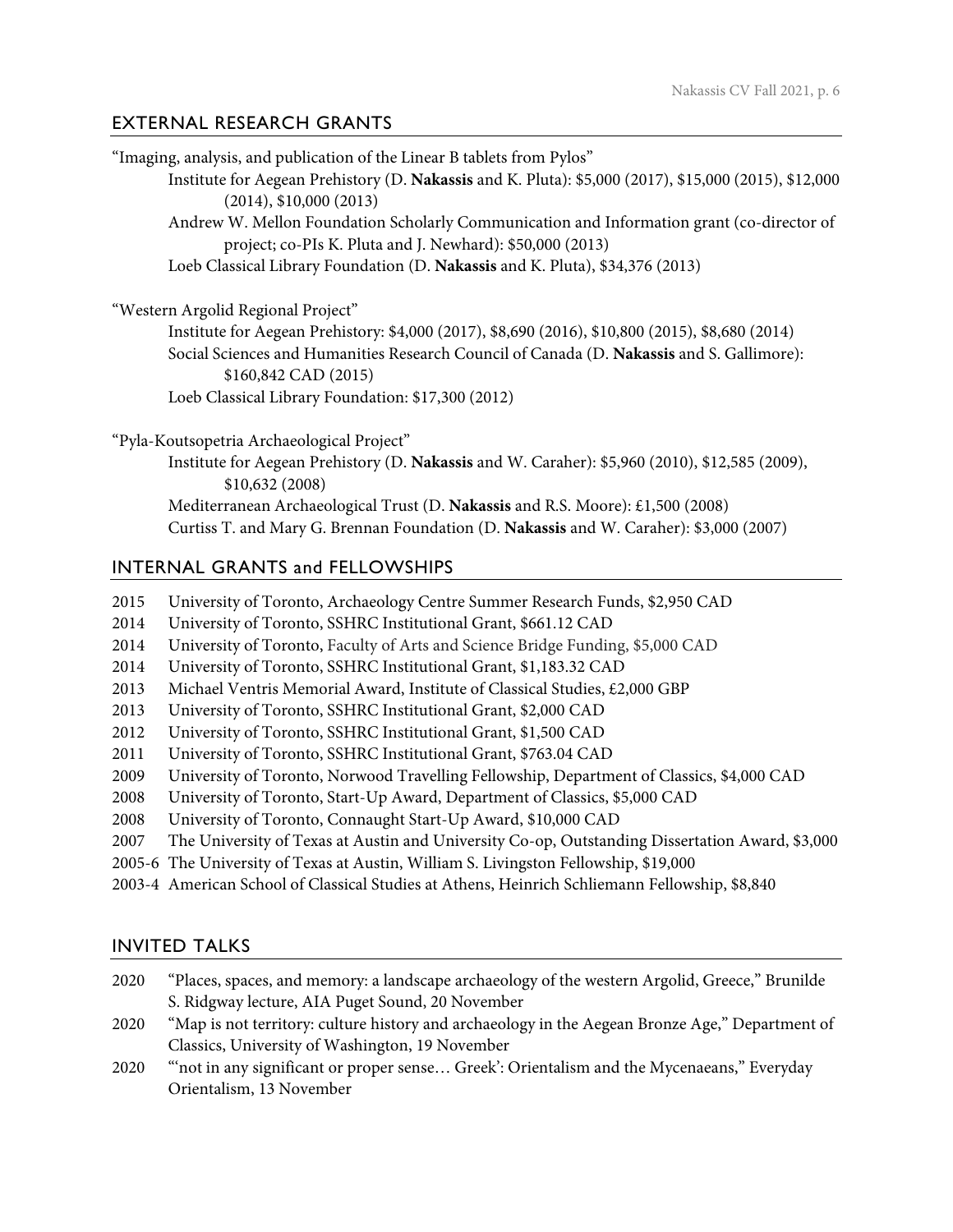# EXTERNAL RESEARCH GRANTS

| "Imaging, analysis, and publication of the Linear B tablets from Pylos"                                                                                |
|--------------------------------------------------------------------------------------------------------------------------------------------------------|
| Institute for Aegean Prehistory (D. Nakassis and K. Pluta): \$5,000 (2017), \$15,000 (2015), \$12,000<br>(2014), \$10,000 (2013)                       |
| Andrew W. Mellon Foundation Scholarly Communication and Information grant (co-director of<br>project; co-PIs K. Pluta and J. Newhard): \$50,000 (2013) |
| Loeb Classical Library Foundation (D. Nakassis and K. Pluta), \$34,376 (2013)                                                                          |
| "Western Argolid Regional Project"                                                                                                                     |
| Institute for Aegean Prehistory: \$4,000 (2017), \$8,690 (2016), \$10,800 (2015), \$8,680 (2014)                                                       |
| Social Sciences and Humanities Research Council of Canada (D. Nakassis and S. Gallimore):<br>\$160,842 CAD (2015)                                      |
| Loeb Classical Library Foundation: \$17,300 (2012)                                                                                                     |
| "Pyla-Koutsopetria Archaeological Project"                                                                                                             |
| Institute for Aegean Prehistory (D. Nakassis and W. Caraher): \$5,960 (2010), \$12,585 (2009),<br>\$10,632(2008)                                       |
| Mediterranean Archaeological Trust (D. Nakassis and R.S. Moore): £1,500 (2008)                                                                         |
| Curtiss T. and Mary G. Brennan Foundation (D. Nakassis and W. Caraher): \$3,000 (2007)                                                                 |
| <b>INTERNAL GRANTS and FELLOWSHIPS</b>                                                                                                                 |

- 2015 University of Toronto, Archaeology Centre Summer Research Funds, \$2,950 CAD
- 2014 University of Toronto, SSHRC Institutional Grant, \$661.12 CAD
- 2014 University of Toronto, Faculty of Arts and Science Bridge Funding, \$5,000 CAD
- 2014 University of Toronto, SSHRC Institutional Grant, \$1,183.32 CAD
- 2013 Michael Ventris Memorial Award, Institute of Classical Studies, £2,000 GBP
- 2013 University of Toronto, SSHRC Institutional Grant, \$2,000 CAD
- 2012 University of Toronto, SSHRC Institutional Grant, \$1,500 CAD
- 2011 University of Toronto, SSHRC Institutional Grant, \$763.04 CAD
- 2009 University of Toronto, Norwood Travelling Fellowship, Department of Classics, \$4,000 CAD
- 2008 University of Toronto, Start-Up Award, Department of Classics, \$5,000 CAD
- 2008 University of Toronto, Connaught Start-Up Award, \$10,000 CAD
- 2007 The University of Texas at Austin and University Co-op, Outstanding Dissertation Award, \$3,000
- 2005-6 The University of Texas at Austin, William S. Livingston Fellowship, \$19,000
- 2003-4 American School of Classical Studies at Athens, Heinrich Schliemann Fellowship, \$8,840

# INVITED TALKS

- 2020 "Places, spaces, and memory: a landscape archaeology of the western Argolid, Greece," Brunilde S. Ridgway lecture, AIA Puget Sound, 20 November
- 2020 "Map is not territory: culture history and archaeology in the Aegean Bronze Age," Department of Classics, University of Washington, 19 November
- 2020 "'not in any significant or proper sense… Greek': Orientalism and the Mycenaeans," Everyday Orientalism, 13 November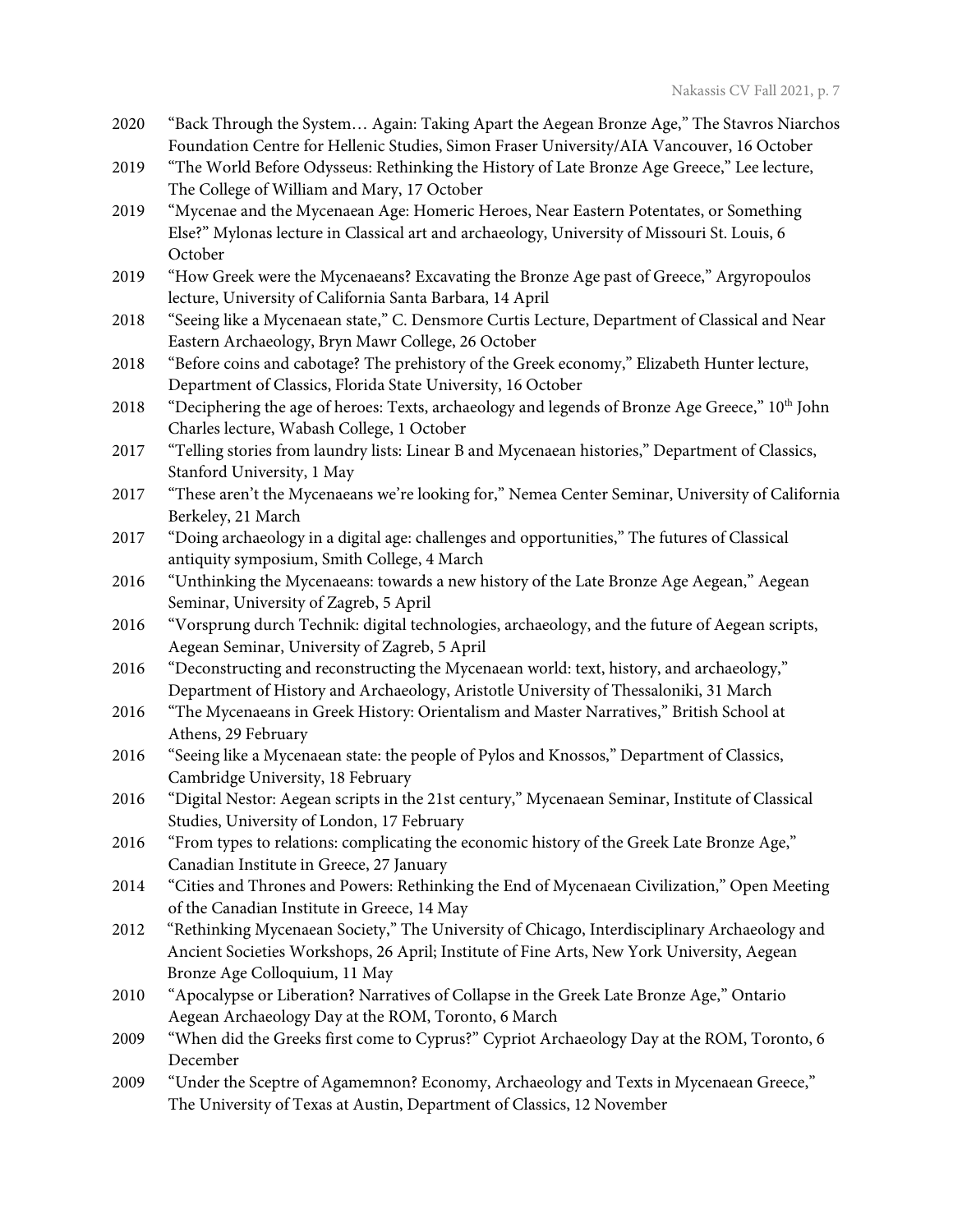- 2020 "Back Through the System… Again: Taking Apart the Aegean Bronze Age," The Stavros Niarchos Foundation Centre for Hellenic Studies, Simon Fraser University/AIA Vancouver, 16 October
- 2019 "The World Before Odysseus: Rethinking the History of Late Bronze Age Greece," Lee lecture, The College of William and Mary, 17 October
- 2019 "Mycenae and the Mycenaean Age: Homeric Heroes, Near Eastern Potentates, or Something Else?" Mylonas lecture in Classical art and archaeology, University of Missouri St. Louis, 6 October
- 2019 "How Greek were the Mycenaeans? Excavating the Bronze Age past of Greece," Argyropoulos lecture, University of California Santa Barbara, 14 April
- 2018 "Seeing like a Mycenaean state," C. Densmore Curtis Lecture, Department of Classical and Near Eastern Archaeology, Bryn Mawr College, 26 October
- 2018 "Before coins and cabotage? The prehistory of the Greek economy," Elizabeth Hunter lecture, Department of Classics, Florida State University, 16 October
- 2018 "Deciphering the age of heroes: Texts, archaeology and legends of Bronze Age Greece," 10th John Charles lecture, Wabash College, 1 October
- 2017 "Telling stories from laundry lists: Linear B and Mycenaean histories," Department of Classics, Stanford University, 1 May
- 2017 "These aren't the Mycenaeans we're looking for," Nemea Center Seminar, University of California Berkeley, 21 March
- 2017 "Doing archaeology in a digital age: challenges and opportunities," The futures of Classical antiquity symposium, Smith College, 4 March
- 2016 "Unthinking the Mycenaeans: towards a new history of the Late Bronze Age Aegean," Aegean Seminar, University of Zagreb, 5 April
- 2016 "Vorsprung durch Technik: digital technologies, archaeology, and the future of Aegean scripts, Aegean Seminar, University of Zagreb, 5 April
- 2016 "Deconstructing and reconstructing the Mycenaean world: text, history, and archaeology," Department of History and Archaeology, Aristotle University of Thessaloniki, 31 March
- 2016 "The Mycenaeans in Greek History: Orientalism and Master Narratives," British School at Athens, 29 February
- 2016 "Seeing like a Mycenaean state: the people of Pylos and Knossos," Department of Classics, Cambridge University, 18 February
- 2016 "Digital Nestor: Aegean scripts in the 21st century," Mycenaean Seminar, Institute of Classical Studies, University of London, 17 February
- 2016 "From types to relations: complicating the economic history of the Greek Late Bronze Age," Canadian Institute in Greece, 27 January
- 2014 "Cities and Thrones and Powers: Rethinking the End of Mycenaean Civilization," Open Meeting of the Canadian Institute in Greece, 14 May
- 2012 "Rethinking Mycenaean Society," The University of Chicago, Interdisciplinary Archaeology and Ancient Societies Workshops, 26 April; Institute of Fine Arts, New York University, Aegean Bronze Age Colloquium, 11 May
- 2010 "Apocalypse or Liberation? Narratives of Collapse in the Greek Late Bronze Age," Ontario Aegean Archaeology Day at the ROM, Toronto, 6 March
- 2009 "When did the Greeks first come to Cyprus?" Cypriot Archaeology Day at the ROM, Toronto, 6 December
- 2009 "Under the Sceptre of Agamemnon? Economy, Archaeology and Texts in Mycenaean Greece," The University of Texas at Austin, Department of Classics, 12 November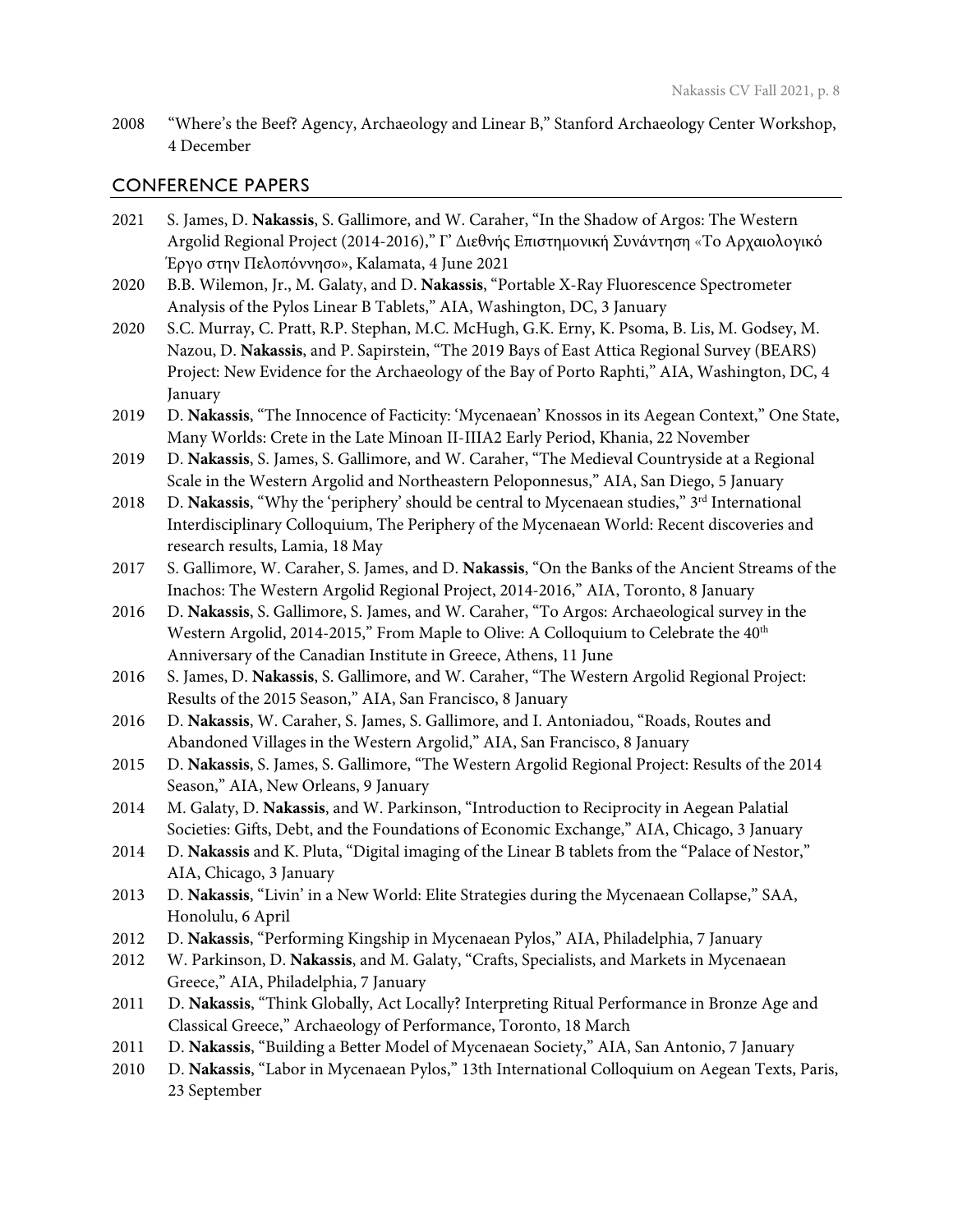2008 "Where's the Beef? Agency, Archaeology and Linear B," Stanford Archaeology Center Workshop, 4 December

#### CONFERENCE PAPERS

- 2021 S. James, D. **Nakassis**, S. Gallimore, and W. Caraher, "In the Shadow of Argos: The Western Argolid Regional Project (2014-2016)," Γ' Διεθνής Επιστημονική Συνάντηση «Το Αρχαιολογικό Έργο στην Πελοπόννησο», Kalamata, 4 June 2021
- 2020 B.B. Wilemon, Jr., M. Galaty, and D. **Nakassis**, "Portable X-Ray Fluorescence Spectrometer Analysis of the Pylos Linear B Tablets," AIA, Washington, DC, 3 January
- 2020 S.C. Murray, C. Pratt, R.P. Stephan, M.C. McHugh, G.K. Erny, K. Psoma, B. Lis, M. Godsey, M. Nazou, D. **Nakassis**, and P. Sapirstein, "The 2019 Bays of East Attica Regional Survey (BEARS) Project: New Evidence for the Archaeology of the Bay of Porto Raphti," AIA, Washington, DC, 4 January
- 2019 D. **Nakassis**, "The Innocence of Facticity: 'Mycenaean' Knossos in its Aegean Context," One State, Many Worlds: Crete in the Late Minoan II-IIIA2 Early Period, Khania, 22 November
- 2019 D. **Nakassis**, S. James, S. Gallimore, and W. Caraher, "The Medieval Countryside at a Regional Scale in the Western Argolid and Northeastern Peloponnesus," AIA, San Diego, 5 January
- 2018 D. **Nakassis**, "Why the 'periphery' should be central to Mycenaean studies," 3<sup>rd</sup> International Interdisciplinary Colloquium, The Periphery of the Mycenaean World: Recent discoveries and research results, Lamia, 18 May
- 2017 S. Gallimore, W. Caraher, S. James, and D. **Nakassis**, "On the Banks of the Ancient Streams of the Inachos: The Western Argolid Regional Project, 2014-2016," AIA, Toronto, 8 January
- 2016 D. **Nakassis**, S. Gallimore, S. James, and W. Caraher, "To Argos: Archaeological survey in the Western Argolid, 2014-2015," From Maple to Olive: A Colloquium to Celebrate the 40<sup>th</sup> Anniversary of the Canadian Institute in Greece, Athens, 11 June
- 2016 S. James, D. **Nakassis**, S. Gallimore, and W. Caraher, "The Western Argolid Regional Project: Results of the 2015 Season," AIA, San Francisco, 8 January
- 2016 D. **Nakassis**, W. Caraher, S. James, S. Gallimore, and I. Antoniadou, "Roads, Routes and Abandoned Villages in the Western Argolid," AIA, San Francisco, 8 January
- 2015 D. **Nakassis**, S. James, S. Gallimore, "The Western Argolid Regional Project: Results of the 2014 Season," AIA, New Orleans, 9 January
- 2014 M. Galaty, D. **Nakassis**, and W. Parkinson, "Introduction to Reciprocity in Aegean Palatial Societies: Gifts, Debt, and the Foundations of Economic Exchange," AIA, Chicago, 3 January
- 2014 D. **Nakassis** and K. Pluta, "Digital imaging of the Linear B tablets from the "Palace of Nestor," AIA, Chicago, 3 January
- 2013 D. **Nakassis**, "Livin' in a New World: Elite Strategies during the Mycenaean Collapse," SAA, Honolulu, 6 April
- 2012 D. **Nakassis**, "Performing Kingship in Mycenaean Pylos," AIA, Philadelphia, 7 January
- 2012 W. Parkinson, D. **Nakassis**, and M. Galaty, "Crafts, Specialists, and Markets in Mycenaean Greece," AIA, Philadelphia, 7 January
- 2011 D. **Nakassis**, "Think Globally, Act Locally? Interpreting Ritual Performance in Bronze Age and Classical Greece," Archaeology of Performance, Toronto, 18 March
- 2011 D. **Nakassis**, "Building a Better Model of Mycenaean Society," AIA, San Antonio, 7 January
- 2010 D. **Nakassis**, "Labor in Mycenaean Pylos," 13th International Colloquium on Aegean Texts, Paris, 23 September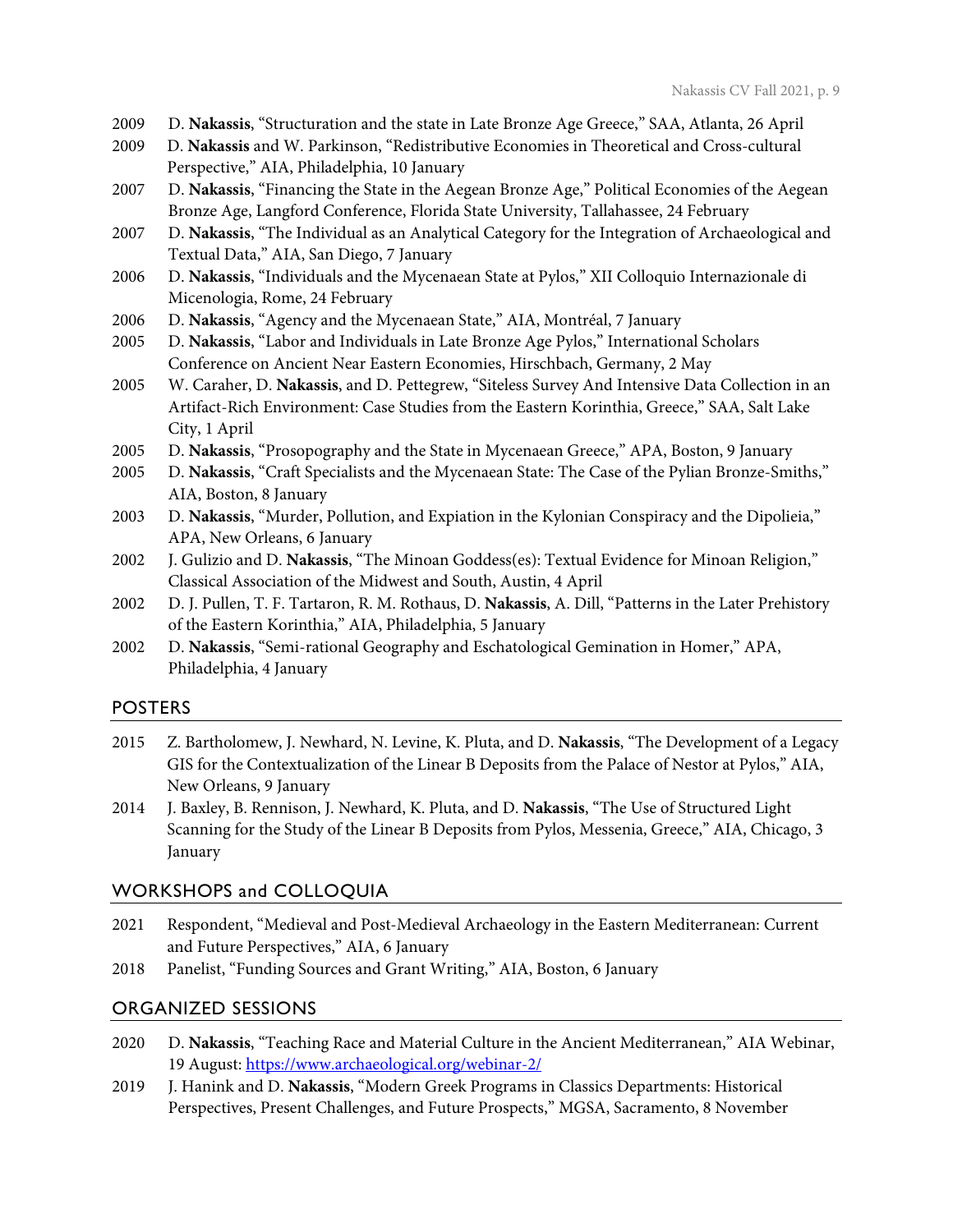- 2009 D. **Nakassis**, "Structuration and the state in Late Bronze Age Greece," SAA, Atlanta, 26 April
- 2009 D. **Nakassis** and W. Parkinson, "Redistributive Economies in Theoretical and Cross-cultural Perspective," AIA, Philadelphia, 10 January
- 2007 D. **Nakassis**, "Financing the State in the Aegean Bronze Age," Political Economies of the Aegean Bronze Age, Langford Conference, Florida State University, Tallahassee, 24 February
- 2007 D. **Nakassis**, "The Individual as an Analytical Category for the Integration of Archaeological and Textual Data," AIA, San Diego, 7 January
- 2006 D. **Nakassis**, "Individuals and the Mycenaean State at Pylos," XII Colloquio Internazionale di Micenologia, Rome, 24 February
- 2006 D. **Nakassis**, "Agency and the Mycenaean State," AIA, Montréal, 7 January
- 2005 D. **Nakassis**, "Labor and Individuals in Late Bronze Age Pylos," International Scholars Conference on Ancient Near Eastern Economies, Hirschbach, Germany, 2 May
- 2005 W. Caraher, D. **Nakassis**, and D. Pettegrew, "Siteless Survey And Intensive Data Collection in an Artifact-Rich Environment: Case Studies from the Eastern Korinthia, Greece," SAA, Salt Lake City, 1 April
- 2005 D. **Nakassis**, "Prosopography and the State in Mycenaean Greece," APA, Boston, 9 January
- 2005 D. **Nakassis**, "Craft Specialists and the Mycenaean State: The Case of the Pylian Bronze-Smiths," AIA, Boston, 8 January
- 2003 D. **Nakassis**, "Murder, Pollution, and Expiation in the Kylonian Conspiracy and the Dipolieia," APA, New Orleans, 6 January
- 2002 J. Gulizio and D. **Nakassis**, "The Minoan Goddess(es): Textual Evidence for Minoan Religion," Classical Association of the Midwest and South, Austin, 4 April
- 2002 D. J. Pullen, T. F. Tartaron, R. M. Rothaus, D. **Nakassis**, A. Dill, "Patterns in the Later Prehistory of the Eastern Korinthia," AIA, Philadelphia, 5 January
- 2002 D. **Nakassis**, "Semi-rational Geography and Eschatological Gemination in Homer," APA, Philadelphia, 4 January

## POSTERS

- 2015 Z. Bartholomew, J. Newhard, N. Levine, K. Pluta, and D. **Nakassis**, "The Development of a Legacy GIS for the Contextualization of the Linear B Deposits from the Palace of Nestor at Pylos," AIA, New Orleans, 9 January
- 2014 J. Baxley, B. Rennison, J. Newhard, K. Pluta, and D. **Nakassis**, "The Use of Structured Light Scanning for the Study of the Linear B Deposits from Pylos, Messenia, Greece," AIA, Chicago, 3 January

## WORKSHOPS and COLLOQUIA

- 2021 Respondent, "Medieval and Post-Medieval Archaeology in the Eastern Mediterranean: Current and Future Perspectives," AIA, 6 January
- 2018 Panelist, "Funding Sources and Grant Writing," AIA, Boston, 6 January

# ORGANIZED SESSIONS

- 2020 D. **Nakassis**, "Teaching Race and Material Culture in the Ancient Mediterranean," AIA Webinar, 19 August:<https://www.archaeological.org/webinar-2/>
- 2019 J. Hanink and D. **Nakassis**, "Modern Greek Programs in Classics Departments: Historical Perspectives, Present Challenges, and Future Prospects," MGSA, Sacramento, 8 November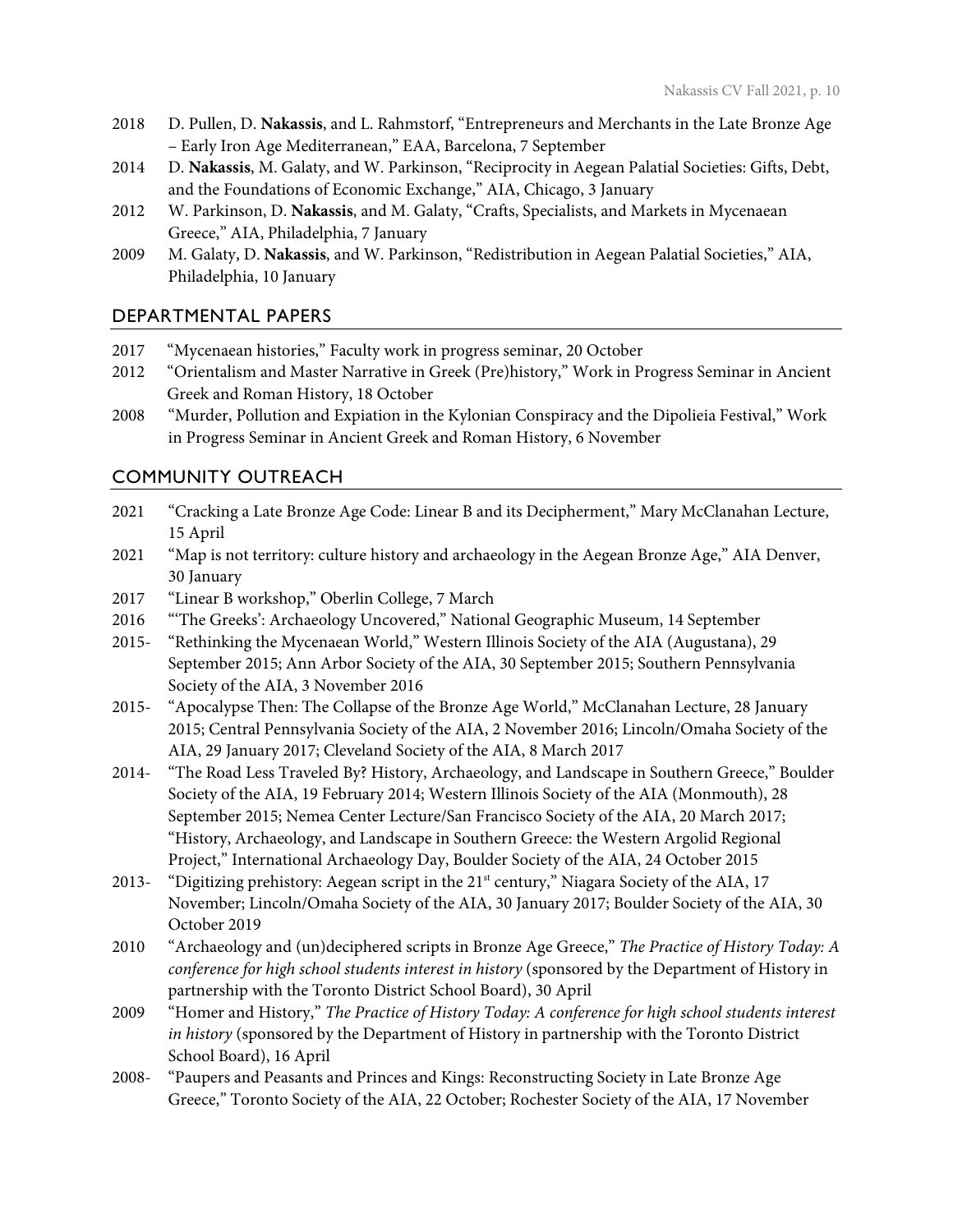- 2018 D. Pullen, D. **Nakassis**, and L. Rahmstorf, "Entrepreneurs and Merchants in the Late Bronze Age – Early Iron Age Mediterranean," EAA, Barcelona, 7 September
- 2014 D. **Nakassis**, M. Galaty, and W. Parkinson, "Reciprocity in Aegean Palatial Societies: Gifts, Debt, and the Foundations of Economic Exchange," AIA, Chicago, 3 January
- 2012 W. Parkinson, D. **Nakassis**, and M. Galaty, "Crafts, Specialists, and Markets in Mycenaean Greece," AIA, Philadelphia, 7 January
- 2009 M. Galaty, D. **Nakassis**, and W. Parkinson, "Redistribution in Aegean Palatial Societies," AIA, Philadelphia, 10 January

# DEPARTMENTAL PAPERS

- 2017 "Mycenaean histories," Faculty work in progress seminar, 20 October
- 2012 "Orientalism and Master Narrative in Greek (Pre)history," Work in Progress Seminar in Ancient Greek and Roman History, 18 October
- 2008 "Murder, Pollution and Expiation in the Kylonian Conspiracy and the Dipolieia Festival," Work in Progress Seminar in Ancient Greek and Roman History, 6 November

# COMMUNITY OUTREACH

- 2021 "Cracking a Late Bronze Age Code: Linear B and its Decipherment," Mary McClanahan Lecture, 15 April
- 2021 "Map is not territory: culture history and archaeology in the Aegean Bronze Age," AIA Denver, 30 January
- 2017 "Linear B workshop," Oberlin College, 7 March
- 2016 "'The Greeks': Archaeology Uncovered," National Geographic Museum, 14 September
- 2015- "Rethinking the Mycenaean World," Western Illinois Society of the AIA (Augustana), 29 September 2015; Ann Arbor Society of the AIA, 30 September 2015; Southern Pennsylvania Society of the AIA, 3 November 2016
- 2015- "Apocalypse Then: The Collapse of the Bronze Age World," McClanahan Lecture, 28 January 2015; Central Pennsylvania Society of the AIA, 2 November 2016; Lincoln/Omaha Society of the AIA, 29 January 2017; Cleveland Society of the AIA, 8 March 2017
- 2014- "The Road Less Traveled By? History, Archaeology, and Landscape in Southern Greece," Boulder Society of the AIA, 19 February 2014; Western Illinois Society of the AIA (Monmouth), 28 September 2015; Nemea Center Lecture/San Francisco Society of the AIA, 20 March 2017; "History, Archaeology, and Landscape in Southern Greece: the Western Argolid Regional Project," International Archaeology Day, Boulder Society of the AIA, 24 October 2015
- 2013- "Digitizing prehistory: Aegean script in the 21<sup>st</sup> century," Niagara Society of the AIA, 17 November; Lincoln/Omaha Society of the AIA, 30 January 2017; Boulder Society of the AIA, 30 October 2019
- 2010 "Archaeology and (un)deciphered scripts in Bronze Age Greece," *The Practice of History Today: A conference for high school students interest in history* (sponsored by the Department of History in partnership with the Toronto District School Board), 30 April
- 2009 "Homer and History," *The Practice of History Today: A conference for high school students interest in history* (sponsored by the Department of History in partnership with the Toronto District School Board), 16 April
- 2008- "Paupers and Peasants and Princes and Kings: Reconstructing Society in Late Bronze Age Greece," Toronto Society of the AIA, 22 October; Rochester Society of the AIA, 17 November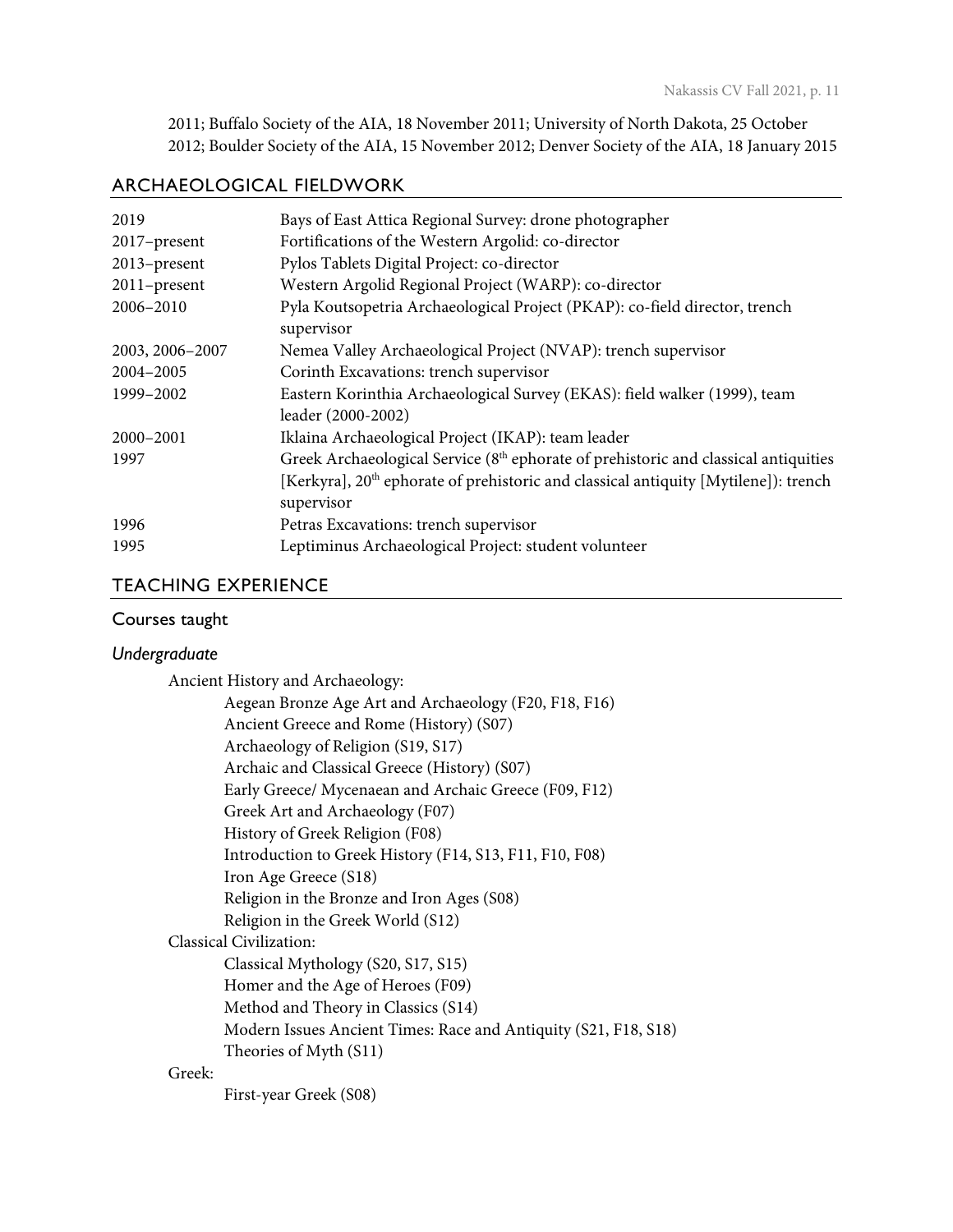2011; Buffalo Society of the AIA, 18 November 2011; University of North Dakota, 25 October 2012; Boulder Society of the AIA, 15 November 2012; Denver Society of the AIA, 18 January 2015

# ARCHAEOLOGICAL FIELDWORK

| 2019            | Bays of East Attica Regional Survey: drone photographer                                         |
|-----------------|-------------------------------------------------------------------------------------------------|
| 2017-present    | Fortifications of the Western Argolid: co-director                                              |
| 2013-present    | Pylos Tablets Digital Project: co-director                                                      |
| 2011-present    | Western Argolid Regional Project (WARP): co-director                                            |
| 2006-2010       | Pyla Koutsopetria Archaeological Project (PKAP): co-field director, trench                      |
|                 | supervisor                                                                                      |
| 2003, 2006-2007 | Nemea Valley Archaeological Project (NVAP): trench supervisor                                   |
| 2004-2005       | Corinth Excavations: trench supervisor                                                          |
| 1999-2002       | Eastern Korinthia Archaeological Survey (EKAS): field walker (1999), team                       |
|                 | leader (2000-2002)                                                                              |
| 2000-2001       | Iklaina Archaeological Project (IKAP): team leader                                              |
| 1997            | Greek Archaeological Service (8 <sup>th</sup> ephorate of prehistoric and classical antiquities |
|                 | [Kerkyra], 20 <sup>th</sup> ephorate of prehistoric and classical antiquity [Mytilene]): trench |
|                 | supervisor                                                                                      |
| 1996            | Petras Excavations: trench supervisor                                                           |
| 1995            | Leptiminus Archaeological Project: student volunteer                                            |

# TEACHING EXPERIENCE

## Courses taught

#### *Undergraduate*

Ancient History and Archaeology:

|        | Aegean Bronze Age Art and Archaeology (F20, F18, F16)           |
|--------|-----------------------------------------------------------------|
|        | Ancient Greece and Rome (History) (S07)                         |
|        | Archaeology of Religion (S19, S17)                              |
|        | Archaic and Classical Greece (History) (S07)                    |
|        | Early Greece/ Mycenaean and Archaic Greece (F09, F12)           |
|        | Greek Art and Archaeology (F07)                                 |
|        | History of Greek Religion (F08)                                 |
|        | Introduction to Greek History (F14, S13, F11, F10, F08)         |
|        | Iron Age Greece (S18)                                           |
|        | Religion in the Bronze and Iron Ages (S08)                      |
|        | Religion in the Greek World (S12)                               |
|        | Classical Civilization:                                         |
|        | Classical Mythology (S20, S17, S15)                             |
|        | Homer and the Age of Heroes (F09)                               |
|        | Method and Theory in Classics (S14)                             |
|        | Modern Issues Ancient Times: Race and Antiquity (S21, F18, S18) |
|        | Theories of Myth (S11)                                          |
| Greek: |                                                                 |

First-year Greek (S08)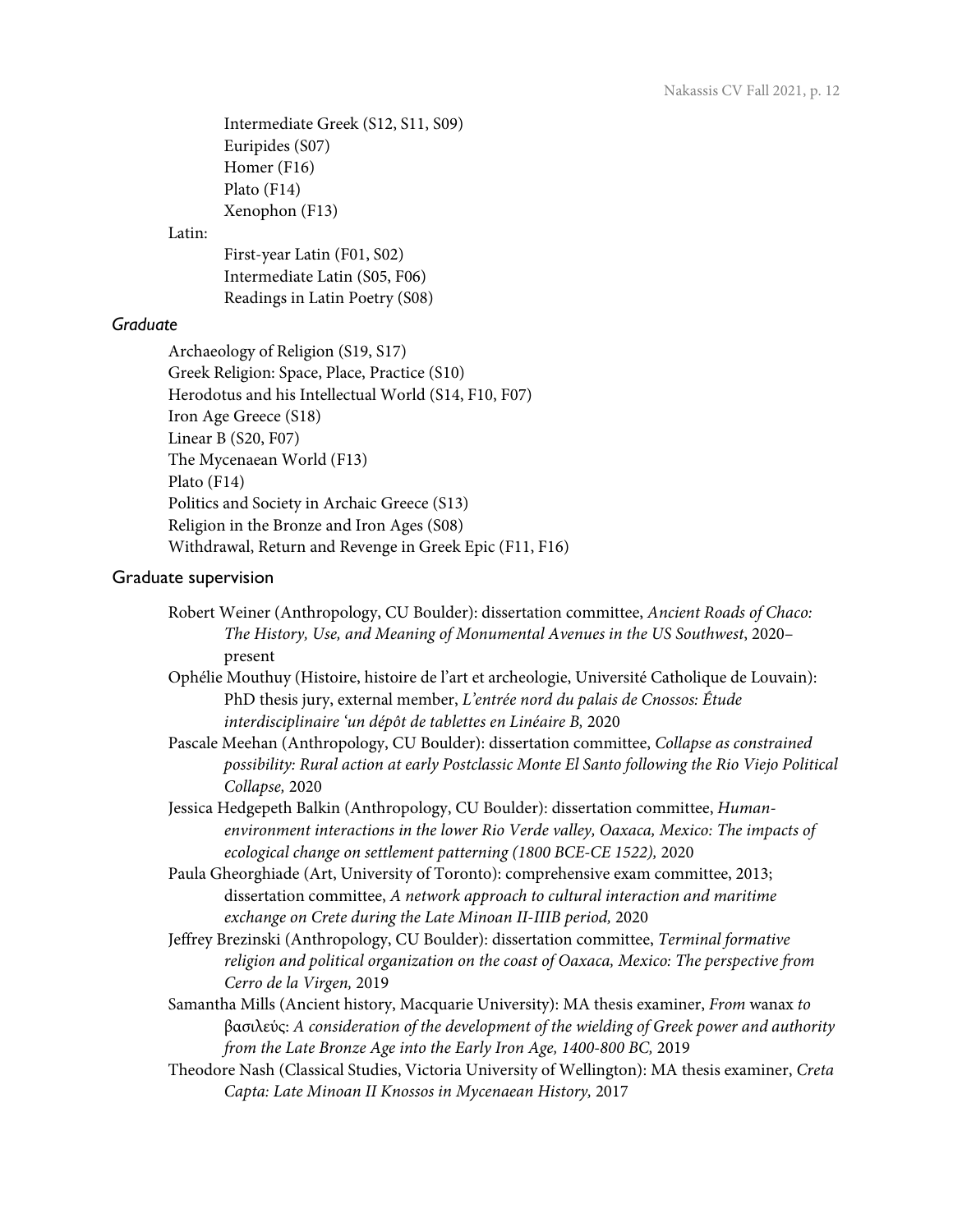Intermediate Greek (S12, S11, S09) Euripides (S07) Homer (F16) Plato (F14) Xenophon (F13)

#### Latin:

First-year Latin (F01, S02) Intermediate Latin (S05, F06) Readings in Latin Poetry (S08)

## *Graduate*

Archaeology of Religion (S19, S17) Greek Religion: Space, Place, Practice (S10) Herodotus and his Intellectual World (S14, F10, F07) Iron Age Greece (S18) Linear B (S20, F07) The Mycenaean World (F13) Plato (F14) Politics and Society in Archaic Greece (S13) Religion in the Bronze and Iron Ages (S08) Withdrawal, Return and Revenge in Greek Epic (F11, F16)

#### Graduate supervision

- Robert Weiner (Anthropology, CU Boulder): dissertation committee, *Ancient Roads of Chaco: The History, Use, and Meaning of Monumental Avenues in the US Southwest*, 2020– present
- Ophélie Mouthuy (Histoire, histoire de l'art et archeologie, Université Catholique de Louvain): PhD thesis jury, external member, *L'entrée nord du palais de Cnossos: Étude interdisciplinaire 'un dépôt de tablettes en Linéaire B,* 2020
- Pascale Meehan (Anthropology, CU Boulder): dissertation committee, *Collapse as constrained possibility: Rural action at early Postclassic Monte El Santo following the Rio Viejo Political Collapse,* 2020
- Jessica Hedgepeth Balkin (Anthropology, CU Boulder): dissertation committee, *Humanenvironment interactions in the lower Rio Verde valley, Oaxaca, Mexico: The impacts of ecological change on settlement patterning (1800 BCE-CE 1522),* 2020
- Paula Gheorghiade (Art, University of Toronto): comprehensive exam committee, 2013; dissertation committee, *A network approach to cultural interaction and maritime exchange on Crete during the Late Minoan II-IIIB period,* 2020
- Jeffrey Brezinski (Anthropology, CU Boulder): dissertation committee, *Terminal formative religion and political organization on the coast of Oaxaca, Mexico: The perspective from Cerro de la Virgen,* 2019
- Samantha Mills (Ancient history, Macquarie University): MA thesis examiner, *From* wanax *to*  βασιλεύς: *A consideration of the development of the wielding of Greek power and authority from the Late Bronze Age into the Early Iron Age, 1400-800 BC,* 2019
- Theodore Nash (Classical Studies, Victoria University of Wellington): MA thesis examiner, *Creta Capta: Late Minoan II Knossos in Mycenaean History,* 2017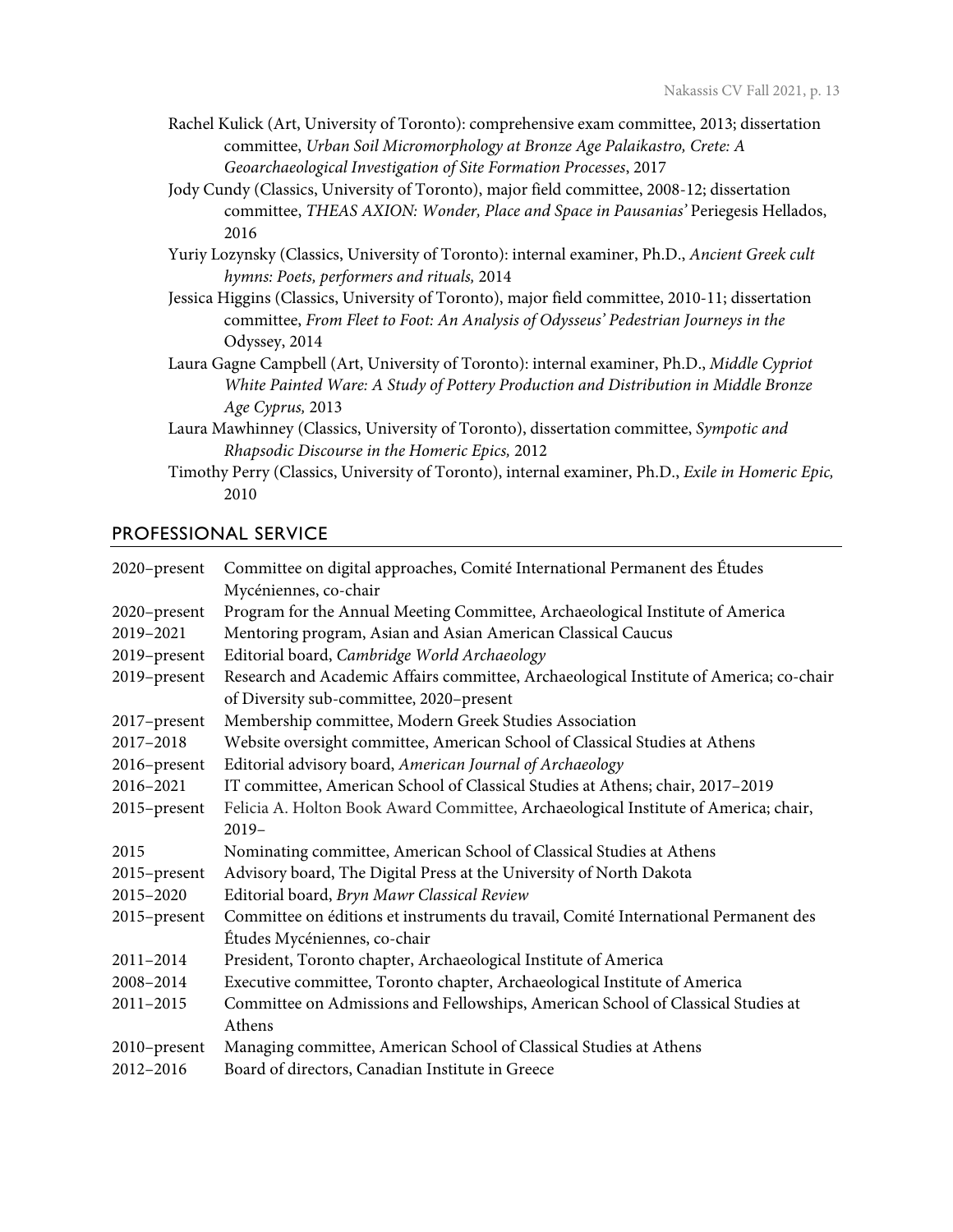- Rachel Kulick (Art, University of Toronto): comprehensive exam committee, 2013; dissertation committee, *Urban Soil Micromorphology at Bronze Age Palaikastro, Crete: A Geoarchaeological Investigation of Site Formation Processes*, 2017
- Jody Cundy (Classics, University of Toronto), major field committee, 2008-12; dissertation committee, *THEAS AXION: Wonder, Place and Space in Pausanias'* Periegesis Hellados, 2016
- Yuriy Lozynsky (Classics, University of Toronto): internal examiner, Ph.D., *Ancient Greek cult hymns: Poets, performers and rituals,* 2014
- Jessica Higgins (Classics, University of Toronto), major field committee, 2010-11; dissertation committee, *From Fleet to Foot: An Analysis of Odysseus' Pedestrian Journeys in the*  Odyssey, 2014
- Laura Gagne Campbell (Art, University of Toronto): internal examiner, Ph.D., *Middle Cypriot White Painted Ware: A Study of Pottery Production and Distribution in Middle Bronze Age Cyprus,* 2013
- Laura Mawhinney (Classics, University of Toronto), dissertation committee, *Sympotic and Rhapsodic Discourse in the Homeric Epics,* 2012
- Timothy Perry (Classics, University of Toronto), internal examiner, Ph.D., *Exile in Homeric Epic,* 2010

## PROFESSIONAL SERVICE

| 2020-present | Committee on digital approaches, Comité International Permanent des Études             |
|--------------|----------------------------------------------------------------------------------------|
|              | Mycéniennes, co-chair                                                                  |
| 2020-present | Program for the Annual Meeting Committee, Archaeological Institute of America          |
| 2019-2021    | Mentoring program, Asian and Asian American Classical Caucus                           |
| 2019-present | Editorial board, Cambridge World Archaeology                                           |
| 2019-present | Research and Academic Affairs committee, Archaeological Institute of America; co-chair |
|              | of Diversity sub-committee, 2020-present                                               |
| 2017-present | Membership committee, Modern Greek Studies Association                                 |
| 2017-2018    | Website oversight committee, American School of Classical Studies at Athens            |
| 2016-present | Editorial advisory board, American Journal of Archaeology                              |
| 2016-2021    | IT committee, American School of Classical Studies at Athens; chair, 2017-2019         |
| 2015-present | Felicia A. Holton Book Award Committee, Archaeological Institute of America; chair,    |
|              | $2019-$                                                                                |
| 2015         | Nominating committee, American School of Classical Studies at Athens                   |
| 2015-present | Advisory board, The Digital Press at the University of North Dakota                    |
| 2015-2020    | Editorial board, Bryn Mawr Classical Review                                            |
| 2015-present | Committee on éditions et instruments du travail, Comité International Permanent des    |
|              | Études Mycéniennes, co-chair                                                           |
| 2011-2014    | President, Toronto chapter, Archaeological Institute of America                        |
| 2008-2014    | Executive committee, Toronto chapter, Archaeological Institute of America              |
| 2011-2015    | Committee on Admissions and Fellowships, American School of Classical Studies at       |
|              | Athens                                                                                 |
| 2010-present | Managing committee, American School of Classical Studies at Athens                     |
| 2012-2016    | Board of directors, Canadian Institute in Greece                                       |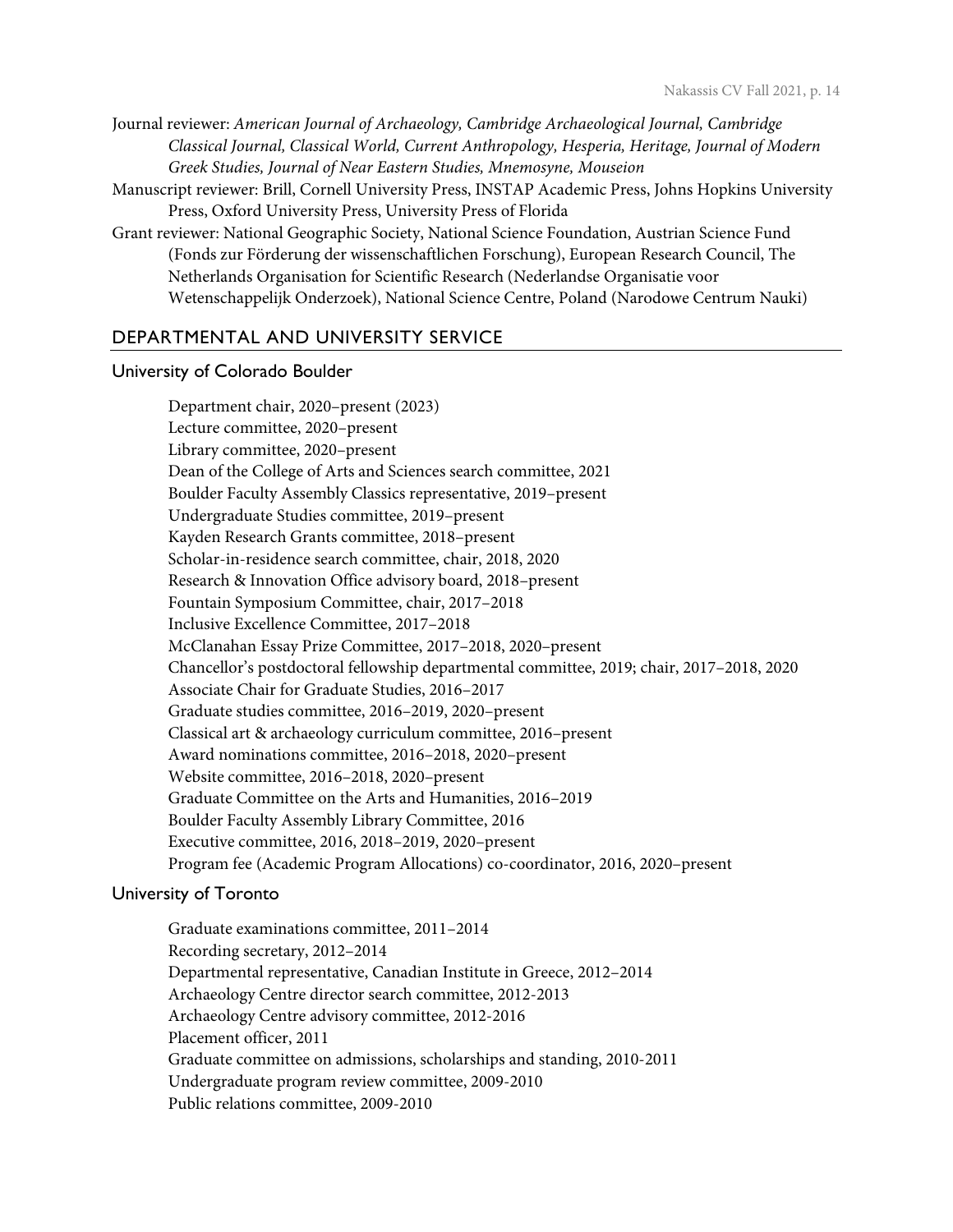Journal reviewer: *American Journal of Archaeology, Cambridge Archaeological Journal, Cambridge Classical Journal, Classical World, Current Anthropology, Hesperia, Heritage, Journal of Modern Greek Studies, Journal of Near Eastern Studies, Mnemosyne, Mouseion*

- Manuscript reviewer: Brill, Cornell University Press, INSTAP Academic Press, Johns Hopkins University Press, Oxford University Press, University Press of Florida
- Grant reviewer: National Geographic Society, National Science Foundation, Austrian Science Fund (Fonds zur Förderung der wissenschaftlichen Forschung), European Research Council, The Netherlands Organisation for Scientific Research (Nederlandse Organisatie voor Wetenschappelijk Onderzoek), National Science Centre, Poland (Narodowe Centrum Nauki)

## DEPARTMENTAL AND UNIVERSITY SERVICE

#### University of Colorado Boulder

Department chair, 2020–present (2023) Lecture committee, 2020–present Library committee, 2020–present Dean of the College of Arts and Sciences search committee, 2021 Boulder Faculty Assembly Classics representative, 2019–present Undergraduate Studies committee, 2019–present Kayden Research Grants committee, 2018–present Scholar-in-residence search committee, chair, 2018, 2020 Research & Innovation Office advisory board, 2018–present Fountain Symposium Committee, chair, 2017–2018 Inclusive Excellence Committee, 2017–2018 McClanahan Essay Prize Committee, 2017–2018, 2020–present Chancellor's postdoctoral fellowship departmental committee, 2019; chair, 2017–2018, 2020 Associate Chair for Graduate Studies, 2016–2017 Graduate studies committee, 2016–2019, 2020–present Classical art & archaeology curriculum committee, 2016–present Award nominations committee, 2016–2018, 2020–present Website committee, 2016–2018, 2020–present Graduate Committee on the Arts and Humanities, 2016–2019 Boulder Faculty Assembly Library Committee, 2016 Executive committee, 2016, 2018–2019, 2020–present Program fee (Academic Program Allocations) co-coordinator, 2016, 2020–present

## University of Toronto

Graduate examinations committee, 2011–2014 Recording secretary, 2012–2014 Departmental representative, Canadian Institute in Greece, 2012–2014 Archaeology Centre director search committee, 2012-2013 Archaeology Centre advisory committee, 2012-2016 Placement officer, 2011 Graduate committee on admissions, scholarships and standing, 2010-2011 Undergraduate program review committee, 2009-2010 Public relations committee, 2009-2010